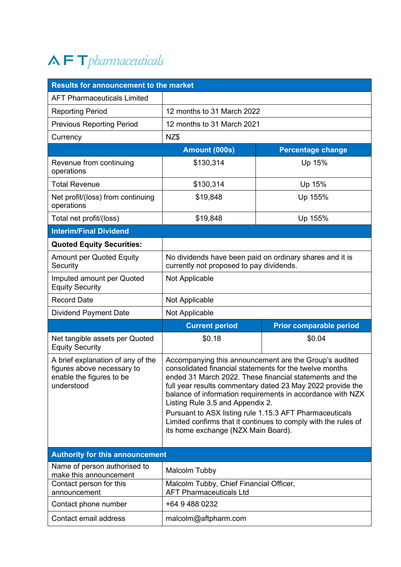## $\Lambda$   $\vdash$  T pharmaceuticals

| <b>Results for announcement to the market</b>                                                             |                                                                                                                                                                                                                                                                                                                                                                                                                                                                                                                  |                                |  |
|-----------------------------------------------------------------------------------------------------------|------------------------------------------------------------------------------------------------------------------------------------------------------------------------------------------------------------------------------------------------------------------------------------------------------------------------------------------------------------------------------------------------------------------------------------------------------------------------------------------------------------------|--------------------------------|--|
| <b>AFT Pharmaceuticals Limited</b>                                                                        |                                                                                                                                                                                                                                                                                                                                                                                                                                                                                                                  |                                |  |
| <b>Reporting Period</b>                                                                                   | 12 months to 31 March 2022                                                                                                                                                                                                                                                                                                                                                                                                                                                                                       |                                |  |
| <b>Previous Reporting Period</b>                                                                          | 12 months to 31 March 2021                                                                                                                                                                                                                                                                                                                                                                                                                                                                                       |                                |  |
| Currency                                                                                                  | NZ\$                                                                                                                                                                                                                                                                                                                                                                                                                                                                                                             |                                |  |
|                                                                                                           | Amount (000s)                                                                                                                                                                                                                                                                                                                                                                                                                                                                                                    | <b>Percentage change</b>       |  |
| Revenue from continuing<br>operations                                                                     | \$130,314                                                                                                                                                                                                                                                                                                                                                                                                                                                                                                        | Up 15%                         |  |
| <b>Total Revenue</b>                                                                                      | \$130,314                                                                                                                                                                                                                                                                                                                                                                                                                                                                                                        | Up 15%                         |  |
| Net profit/(loss) from continuing<br>operations                                                           | \$19,848                                                                                                                                                                                                                                                                                                                                                                                                                                                                                                         | Up 155%                        |  |
| Total net profit/(loss)                                                                                   | \$19,848                                                                                                                                                                                                                                                                                                                                                                                                                                                                                                         | Up 155%                        |  |
| <b>Interim/Final Dividend</b>                                                                             |                                                                                                                                                                                                                                                                                                                                                                                                                                                                                                                  |                                |  |
| <b>Quoted Equity Securities:</b>                                                                          |                                                                                                                                                                                                                                                                                                                                                                                                                                                                                                                  |                                |  |
| <b>Amount per Quoted Equity</b><br>Security                                                               | No dividends have been paid on ordinary shares and it is<br>currently not proposed to pay dividends.                                                                                                                                                                                                                                                                                                                                                                                                             |                                |  |
| Imputed amount per Quoted<br><b>Equity Security</b>                                                       | Not Applicable                                                                                                                                                                                                                                                                                                                                                                                                                                                                                                   |                                |  |
| <b>Record Date</b>                                                                                        | Not Applicable                                                                                                                                                                                                                                                                                                                                                                                                                                                                                                   |                                |  |
| <b>Dividend Payment Date</b>                                                                              | Not Applicable                                                                                                                                                                                                                                                                                                                                                                                                                                                                                                   |                                |  |
|                                                                                                           | <b>Current period</b>                                                                                                                                                                                                                                                                                                                                                                                                                                                                                            | <b>Prior comparable period</b> |  |
| Net tangible assets per Quoted<br><b>Equity Security</b>                                                  | \$0.18                                                                                                                                                                                                                                                                                                                                                                                                                                                                                                           | \$0.04                         |  |
| A brief explanation of any of the<br>figures above necessary to<br>enable the figures to be<br>understood | Accompanying this announcement are the Group's audited<br>consolidated financial statements for the twelve months<br>ended 31 March 2022. These financial statements and the<br>full year results commentary dated 23 May 2022 provide the<br>balance of information requirements in accordance with NZX<br>Listing Rule 3.5 and Appendix 2.<br>Pursuant to ASX listing rule 1.15.3 AFT Pharmaceuticals<br>Limited confirms that it continues to comply with the rules of<br>its home exchange (NZX Main Board). |                                |  |
|                                                                                                           |                                                                                                                                                                                                                                                                                                                                                                                                                                                                                                                  |                                |  |
| <b>Authority for this announcement</b>                                                                    |                                                                                                                                                                                                                                                                                                                                                                                                                                                                                                                  |                                |  |
| Name of person authorised to<br>make this announcement                                                    | Malcolm Tubby                                                                                                                                                                                                                                                                                                                                                                                                                                                                                                    |                                |  |
| Contact person for this<br>announcement                                                                   | Malcolm Tubby, Chief Financial Officer,<br><b>AFT Pharmaceuticals Ltd</b>                                                                                                                                                                                                                                                                                                                                                                                                                                        |                                |  |
| Contact phone number                                                                                      | +64 9 488 0232                                                                                                                                                                                                                                                                                                                                                                                                                                                                                                   |                                |  |